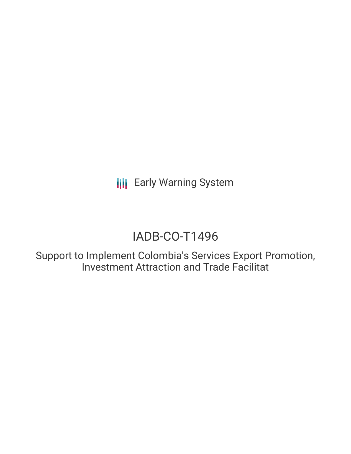**III** Early Warning System

# IADB-CO-T1496

Support to Implement Colombia's Services Export Promotion, Investment Attraction and Trade Facilitat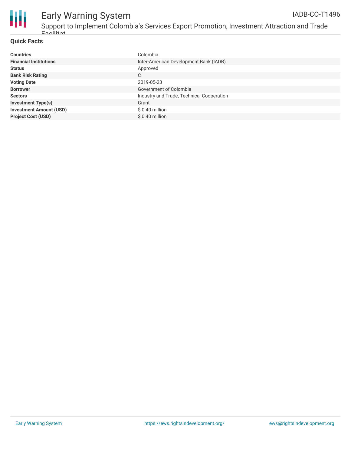

#### Early Warning System Support to Implement Colombia's Services Export Promotion, Investment Attraction and Trade IADB-CO-T1496

#### **Quick Facts**

Facilitat

| <b>Countries</b>               | Colombia                                  |
|--------------------------------|-------------------------------------------|
| <b>Financial Institutions</b>  | Inter-American Development Bank (IADB)    |
| <b>Status</b>                  | Approved                                  |
| <b>Bank Risk Rating</b>        | С                                         |
| <b>Voting Date</b>             | 2019-05-23                                |
| <b>Borrower</b>                | Government of Colombia                    |
| <b>Sectors</b>                 | Industry and Trade, Technical Cooperation |
| <b>Investment Type(s)</b>      | Grant                                     |
| <b>Investment Amount (USD)</b> | $$0.40$ million                           |
| <b>Project Cost (USD)</b>      | $$0.40$ million                           |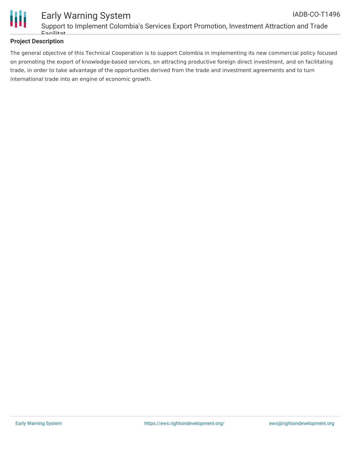

#### **Project Description**

The general objective of this Technical Cooperation is to support Colombia in implementing its new commercial policy focused on promoting the export of knowledge-based services, on attracting productive foreign direct investment, and on facilitating trade, in order to take advantage of the opportunities derived from the trade and investment agreements and to turn international trade into an engine of economic growth.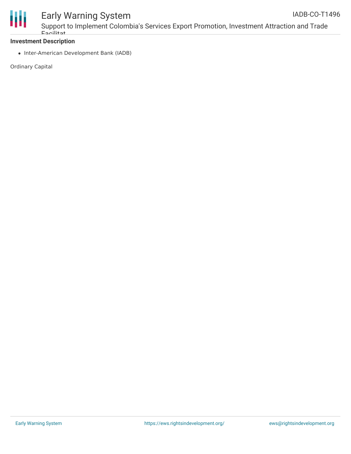

## Early Warning System

Support to Implement Colombia's Services Export Promotion, Investment Attraction and Trade Facilitat

#### **Investment Description**

• Inter-American Development Bank (IADB)

Ordinary Capital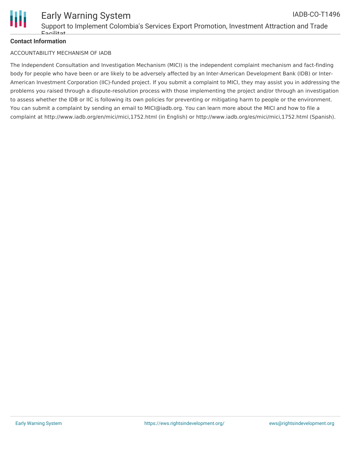

#### **Contact Information**

#### ACCOUNTABILITY MECHANISM OF IADB

The Independent Consultation and Investigation Mechanism (MICI) is the independent complaint mechanism and fact-finding body for people who have been or are likely to be adversely affected by an Inter-American Development Bank (IDB) or Inter-American Investment Corporation (IIC)-funded project. If you submit a complaint to MICI, they may assist you in addressing the problems you raised through a dispute-resolution process with those implementing the project and/or through an investigation to assess whether the IDB or IIC is following its own policies for preventing or mitigating harm to people or the environment. You can submit a complaint by sending an email to MICI@iadb.org. You can learn more about the MICI and how to file a complaint at http://www.iadb.org/en/mici/mici,1752.html (in English) or http://www.iadb.org/es/mici/mici,1752.html (Spanish).